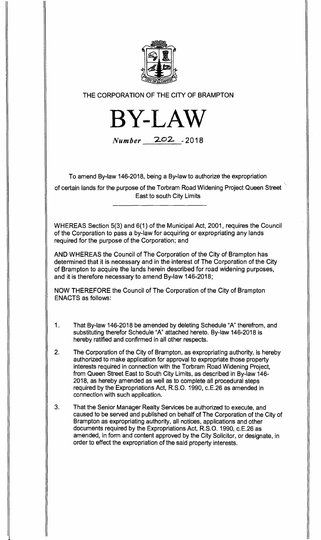

THE CORPORATION OF THE CITY OF BRAMPTON

**BY-LAW** 

**Number 202- -<sup>2018</sup>**

To amend By-law 146-2018, being a By-law to authorize the expropriation

of certain lands for the purpose of the Torbram Road Widening Project Queen Street East to south City Limits

WHEREAS Section 5(3) and 6(1) of the Municipal Act, 2001, requires the Council of the Corporation to pass a by-law for acquiring or expropriating any lands required for the purpose of the Corporation; and

AND WHEREAS the Council of The Corporation of the City of Brampton has determined that it is necessary and in the interest of The Corporation of the City of Brampton to acquire the lands herein described for road widening purposes, and it is therefore necessary to amend By-law 146-2018;

NOW THEREFORE the Council of The Corporation of the City of Brampton ENACTS as follows:

- 1. That By-law 146-2018 be amended by deleting Schedule "A" therefrom, and substituting therefor Schedule "A" attached hereto. By-law 146-2018 is hereby ratified and confirmed in all other respects.
- 2. The Corporation of the City of Brampton, as expropriating authority, is hereby authorized to make application for approval to expropriate those property interests required in connection with the Torbram Road Widening Project, from Queen Street East to South City Limits, as described in By-law 146- 2018, as hereby amended as well as to complete all procedural steps required by the Expropriations Act, R.S.O. 1990, c.E.26 as amended in connection with such application.
- 3. That the Senior Manager Realty Services be authorized to execute, and caused to be served and published on behalf of The Corporation of the City of Brampton as expropriating authority, all notices, applications and other documents required by the Expropriations Act, R.S.O. 1990, c.E.26 as amended, in form and content approved by the City Solicitor, or designate, in order to effect the expropriation of the said property interests.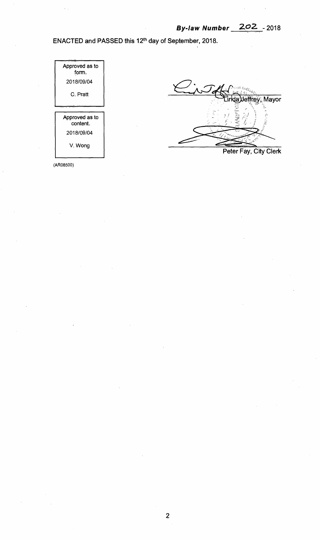**ENACTED and PASSED this 12th day of September, 2018.** 

| Approved as to<br>form.    |
|----------------------------|
| 2018/09/04                 |
| C. Pratt                   |
|                            |
|                            |
| Approved as to<br>content. |
| 2018/09/04                 |



**Peter Fay, City Clerk** 

(AR08500)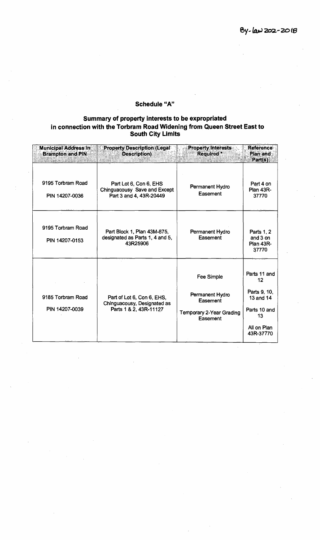## **Schedule "A"**

## **Summary of property interests to be expropriated in connection with the Torbram Road Widening from Queen Street East to South City Limits**

| <b>Municipal Address in</b><br><b>Brampton and PIN</b> | <b>Property Description (Legal</b><br><b>Description</b> )                          | <b>Property Interests</b><br>Required <sup>*</sup>                                              | <b>Reference</b><br>Plan and<br>Part(s)                                                                |
|--------------------------------------------------------|-------------------------------------------------------------------------------------|-------------------------------------------------------------------------------------------------|--------------------------------------------------------------------------------------------------------|
| 9195 Torbram Road<br>PIN 14207-0036                    | Part Lot 6, Con 6, EHS<br>Chinguacousy Save and Except<br>Part 3 and 4, 43R-20449   | Permanent Hydro<br>Easement                                                                     | Part 4 on<br><b>Plan 43R-</b><br>37770                                                                 |
| 9195 Torbram Road<br>PIN 14207-0153                    | Part Block 1, Plan 43M-875,<br>designated as Parts 1, 4 and 5,<br>43R25906          | Permanent Hydro<br>Easement                                                                     | Parts 1, 2<br>and 3 on<br><b>Plan 43R-</b><br>37770                                                    |
| 9185 Torbram Road<br>PIN 14207-0039                    | Part of Lot 6, Con 6, EHS,<br>Chinguacousy, Designated as<br>Parts 1 & 2, 43R-11127 | <b>Fee Simple</b><br>Permanent Hydro<br>Easement<br><b>Temporary 2-Year Grading</b><br>Easement | Parts 11 and<br>$12 \,$<br>Parts 9, 10,<br>13 and 14<br>Parts 10 and<br>13<br>All on Plan<br>43R-37770 |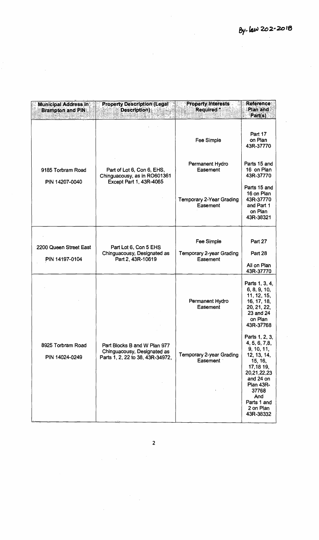| <b>Municipal Address in</b><br><b>Brampton and PIN</b> | <b>Property Description (Legal</b><br><b>Description</b> )                                      | <b>Property Interests</b><br>Required:             | Reference<br>Plan and<br>Part(s)                                                                                                                                                              |
|--------------------------------------------------------|-------------------------------------------------------------------------------------------------|----------------------------------------------------|-----------------------------------------------------------------------------------------------------------------------------------------------------------------------------------------------|
| 9185 Torbram Road<br>PIN 14207-0040                    |                                                                                                 | Fee Simple                                         | Part 17<br>on Plan<br>43R-37770                                                                                                                                                               |
|                                                        | Part of Lot 6, Con 6, EHS,<br>Chinguacousy, as in RO601361<br>Except Part 1, 43R-4065           | Permanent Hydro<br>Easement                        | Parts 15 and<br>16 on Plan<br>43R-37770                                                                                                                                                       |
|                                                        |                                                                                                 | <b>Temporary 2-Year Grading</b><br>Easement        | Parts 15 and<br>16 on Plan<br>43R-37770<br>and Part 1<br>on Plan<br>43R-38321                                                                                                                 |
| 2200 Queen Street East<br>PIN 14197-0104               | Part Lot 6, Con 5 EHS<br>Chinguacousy, Designated as<br>Part 2, 43R-10619                       | Fee Simple<br>Temporary 2-year Grading<br>Easement | Part 27<br>Part 28<br>All on Plan<br>43R-37770                                                                                                                                                |
|                                                        |                                                                                                 | Permanent Hydro<br>Easement                        | Parts 1, 3, 4,<br>6, 8, 9, 10,<br>11, 12, 15,<br>16, 17, 18,<br>20, 21, 22,<br>23 and 24<br>on Plan<br>43R-37768                                                                              |
| 8925 Torbram Road<br>PIN 14024-0249                    | Part Blocks B and W Plan 977<br>Chinguacousy, Designated as<br>Parts 1, 2, 22 to 38, 43R-34972, | <b>Temporary 2-year Grading</b><br>Easement        | Parts 1, 2, 3,<br>4, 5, 6, 7,8,<br>9, 10, 11,<br>12, 13, 14,<br>15, 16,<br>17,18 19,<br>20,21,22,23<br>and 24 on<br><b>Plan 43R-</b><br>37768<br>And<br>Parts 1 and<br>2 on Plan<br>43R-38332 |

2

l,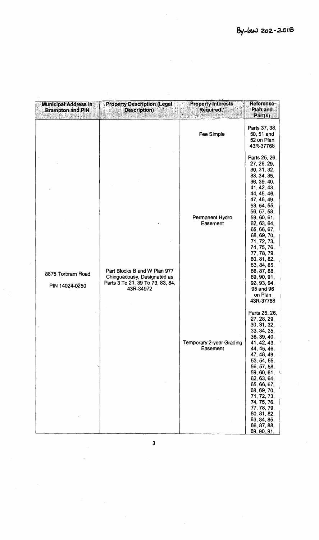| <b>Municipal Address in</b><br><b>Brampton and PIN</b> | <b>Property Description (Legal</b><br><b>Description</b> )                                                   | <b>Property Interests</b><br>Required:      | <b>Reference</b><br><b>Plan and</b><br>Part(s)                                                                                                                                                                                                                                                                                                                                |
|--------------------------------------------------------|--------------------------------------------------------------------------------------------------------------|---------------------------------------------|-------------------------------------------------------------------------------------------------------------------------------------------------------------------------------------------------------------------------------------------------------------------------------------------------------------------------------------------------------------------------------|
|                                                        |                                                                                                              | Fee Simple                                  | Parts 37, 38,<br>50, 51 and<br>52 on Plan<br>43R-37768                                                                                                                                                                                                                                                                                                                        |
| 8875 Torbram Road<br>PIN 14024-0250                    | Part Blocks B and W Plan 977<br>Chinguacousy, Designated as<br>Parts 3 To 21, 39 To 73, 83, 84,<br>43R-34972 | Permanent Hydro<br>Easement                 | Parts 25, 26,<br>27, 28, 29,<br>30, 31, 32,<br>33, 34, 35,<br>36, 39, 40,<br>41, 42, 43,<br>44, 45, 46,<br>47, 48, 49,<br>53, 54, 55,<br>56, 57, 58,<br>59, 60, 61,<br>62, 63, 64,<br>65, 66, 67,<br>68, 69, 70,<br>71, 72, 73,<br>74, 75, 76,<br>77, 78, 79,<br>80, 81, 82,<br>83, 84, 85,<br>86, 87, 88,<br>89, 90, 91,<br>92, 93, 94,<br>95 and 96<br>on Plan<br>43R-37768 |
|                                                        |                                                                                                              | <b>Temporary 2-year Grading</b><br>Easement | Parts 25, 26,<br>27, 28, 29,<br>30, 31, 32,<br>33, 34, 35,<br>36, 39, 40,<br>41, 42, 43,<br>44, 45, 46,<br>47, 48, 49,<br>53, 54, 55,<br>56, 57, 58,<br>59, 60, 61,<br>62, 63, 64,<br>65, 66, 67,<br>68, 69, 70,<br>71, 72, 73,<br>74, 75, 76,<br>77, 78, 79,<br>80, 81, 82,<br>83, 84, 85,<br>86, 87, 88,<br>89, 90, 91,                                                     |

 $\ddot{\phantom{a}}$ 

l,

3

 $\hat{\mathcal{A}}$ 

 $\bar{\beta}$ 

 $\hat{\mathcal{A}}$ 

 $\hat{\mathcal{A}}$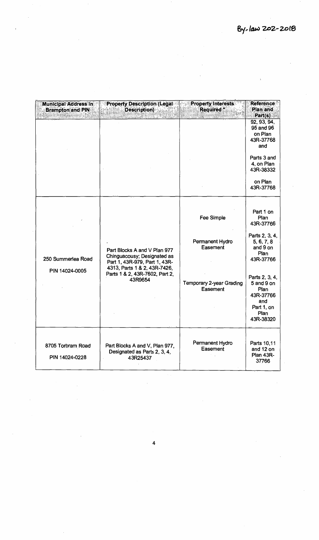| <b>Municipal Address in</b><br><b>Brampton and PIN</b> | <b>Property Description (Legal</b><br><b>Description</b> )                                                                                                                | <b>Property Interests</b><br>Required*                                                          | <b>Reference</b><br>Plan and<br>Part(s)                                                                                                                                                        |
|--------------------------------------------------------|---------------------------------------------------------------------------------------------------------------------------------------------------------------------------|-------------------------------------------------------------------------------------------------|------------------------------------------------------------------------------------------------------------------------------------------------------------------------------------------------|
|                                                        |                                                                                                                                                                           |                                                                                                 | 92, 93, 94,<br>95 and 96<br>on Plan<br>43R-37768<br>and                                                                                                                                        |
|                                                        |                                                                                                                                                                           |                                                                                                 | Parts 3 and<br>4, on Plan<br>43R-38332                                                                                                                                                         |
|                                                        |                                                                                                                                                                           |                                                                                                 | on Plan<br>43R-37768                                                                                                                                                                           |
| 250 Summerlea Road<br>PIN 14024-0005                   | Part Blocks A and V Plan 977<br>Chinguacousy; Designated as<br>Part 1, 43R-979, Part 1, 43R-<br>4313, Parts 1 & 2, 43R-7426,<br>Parts 1 & 2, 43R-7602, Part 2,<br>43R9654 | <b>Fee Simple</b><br>Permanent Hydro<br>Easement<br><b>Temporary 2-year Grading</b><br>Easement | Part 1 on<br>Plan<br>43R-37766<br>Parts 2, 3, 4,<br>5, 6, 7, 8<br>and 9 on<br>Plan<br>43R-37766<br>Parts 2, 3, 4,<br>5 and 9 on<br>Plan<br>43R-37766<br>and<br>Part 1, on<br>Plan<br>43R-38320 |
| 8705 Torbram Road<br>PIN 14024-0228                    | Part Blocks A and V, Plan 977,<br>Designated as Parts 2, 3, 4,<br>43R25437                                                                                                | Permanent Hydro<br>Easement                                                                     | Parts 10,11<br>and 12 on<br>Plan 43R-<br>37766                                                                                                                                                 |

4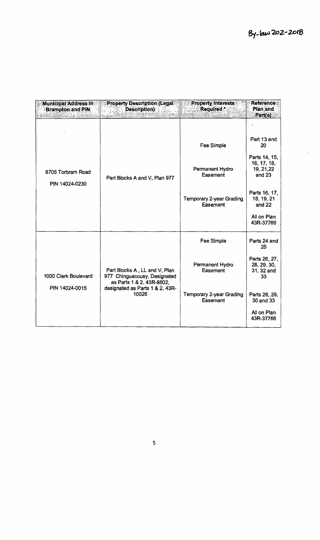| <b>Municipal Address in</b><br><b>Brampton and PIN</b> | <b>Property Description (Legal</b><br>Description)                                         | <b>Property Interests</b><br>Required *     | Reference:<br>Plan and<br>Part(s)                                                |
|--------------------------------------------------------|--------------------------------------------------------------------------------------------|---------------------------------------------|----------------------------------------------------------------------------------|
| 8705 Torbram Road                                      |                                                                                            | Fee Simple<br>Permanent Hydro<br>Easement   | - A<br>Part 13 and<br>20<br>Parts 14, 15,<br>16, 17, 18,<br>19, 21, 22<br>and 23 |
| PIN 14024-0230                                         | Part Blocks A and V, Plan 977                                                              | Temporary 2-year Grading<br>Easement        | Parts 16, 17,<br>18, 19, 21<br>and 22<br>All on Plan<br>43R-37766                |
|                                                        |                                                                                            | Fee Simple                                  | Parts 24 and<br>25                                                               |
| 1000 Clark Boulevard<br>PIN 14024-0015                 | Part Blocks A, LL and V, Plan<br>977 Chinguacousy, Designated<br>as Parts 1 & 2, 43R-8602, | Permanent Hydro<br>Easement                 | Parts 26, 27,<br>28, 29, 30,<br>31, 32 and<br>33                                 |
|                                                        | designated as Parts 1 & 2, 43R-<br>10026                                                   | <b>Temporary 2-year Grading</b><br>Easement | Parts 26, 29,<br>30 and 33                                                       |
|                                                        |                                                                                            |                                             | All on Plan<br>43R-37766                                                         |

 $\frac{1}{2}$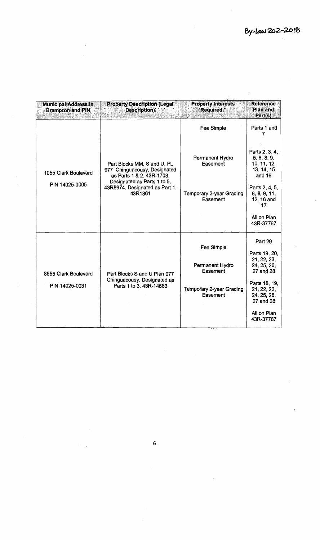| <b>Municipal Address in</b><br><b>Brampton and PIN</b> | <b>Property Description (Legal</b><br>Description)                                                                      | <b>Property Interests</b><br><b>Required</b> : | <b>Reference:</b><br>Plan and<br>Part(s)                             |
|--------------------------------------------------------|-------------------------------------------------------------------------------------------------------------------------|------------------------------------------------|----------------------------------------------------------------------|
|                                                        |                                                                                                                         | Fee Simple                                     | Parts 1 and<br>7                                                     |
| 1055 Clark Boulevard<br>PIN 14025-0005                 | Part Blocks MM, S and U, PL<br>977 Chinguacousy, Designated<br>as Parts 1 & 2, 43R-1703,<br>Designated as Parts 1 to 5, | Permanent Hydro<br>Easement                    | Parts 2, 3, 4,<br>5, 6, 8, 9,<br>10, 11, 12,<br>13, 14, 15<br>and 16 |
|                                                        | 43R8974, Designated as Part 1,<br>43R1361                                                                               | <b>Temporary 2-year Grading</b><br>Easement    | Parts 2, 4, 5,<br>6, 8, 9, 11,<br>12, 16 and<br>17                   |
|                                                        |                                                                                                                         |                                                | All on Plan<br>43R-37767                                             |
|                                                        |                                                                                                                         | Fee Simple                                     | Part 29<br>Parts 19, 20,                                             |
| 8555 Clark Boulevard                                   | Part Blocks S and U Plan 977<br>Chinguacousy, Designated as<br>Parts 1 to 3, 43R-14683                                  | Permanent Hydro<br>Easement                    | 21, 22, 23,<br>24, 25, 26,<br>27 and 28                              |
| PIN 14025-0031                                         |                                                                                                                         | Temporary 2-year Grading<br>Easement           | Parts 18, 19,<br>21, 22, 23,<br>24, 25, 26,<br>27 and 28             |
|                                                        |                                                                                                                         |                                                | All on Plan<br>43R-37767                                             |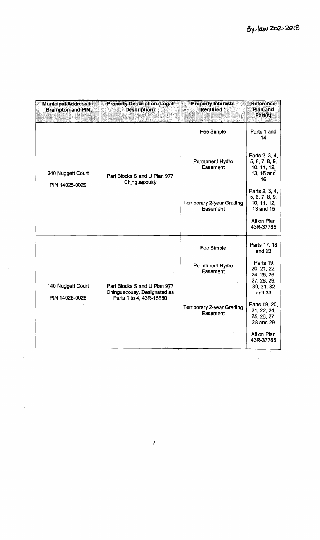$\sim$ 

 $\hat{\mathcal{A}}$ 

 $\hat{\mathcal{A}}$ 

| <b>Municipal Address in</b><br><b>Brampton and PIN</b> | <b>Property Description (Legallet)</b><br><b>Description</b> ) | <b>Property Interests</b><br>Required *     | Reference<br>Plan and<br>Part(s)                                               |
|--------------------------------------------------------|----------------------------------------------------------------|---------------------------------------------|--------------------------------------------------------------------------------|
|                                                        | Part Blocks S and U Plan 977<br>Chinguacousy                   | Fee Simple                                  | Parts 1 and<br>14                                                              |
| 240 Nuggett Court                                      |                                                                | Permanent Hydro<br>Easement                 | Parts 2, 3, 4,<br>5, 6, 7, 8, 9,<br>10, 11, 12,<br>13, 15 and<br>16            |
| PIN 14025-0029                                         |                                                                | <b>Temporary 2-year Grading</b><br>Easement | Parts 2, 3, 4,<br>5, 6, 7, 8, 9,<br>10, 11, 12,<br>13 and 15<br>All on Plan    |
|                                                        |                                                                |                                             | 43R-37765                                                                      |
|                                                        |                                                                | <b>Fee Simple</b>                           | Parts 17, 18<br>and 23                                                         |
| 140 Nuggett Court<br>PIN 14025-0028                    | Part Blocks S and U Plan 977<br>Chinguacousy, Designated as    | Permanent Hydro<br>Easement                 | Parts 19,<br>20, 21, 22,<br>24, 25, 26,<br>27, 28, 29,<br>30, 31, 32<br>and 33 |
|                                                        | Parts 1 to 4, 43R-15880                                        | <b>Temporary 2-year Grading</b><br>Easement | Parts 19, 20,<br>21, 22, 24,<br>25, 26, 27,<br>28 and 29                       |
|                                                        |                                                                |                                             | All on Plan<br>43R-37765                                                       |

 $\mathcal{L}^{\text{max}}_{\text{max}}$ 

 $\hat{\mathcal{A}}$ 

 $\hat{\mathcal{A}}$ 

 $\bar{z}$ 

 $\frac{1}{2}$ 

 $\hat{\mathcal{A}}$ 

 $\label{eq:2.1} \frac{1}{\sqrt{2}}\int_{\mathbb{R}^3}\frac{1}{\sqrt{2}}\left(\frac{1}{\sqrt{2}}\right)^2\frac{1}{\sqrt{2}}\left(\frac{1}{\sqrt{2}}\right)^2\frac{1}{\sqrt{2}}\left(\frac{1}{\sqrt{2}}\right)^2.$ 

 $\sim$ 

 $\hat{\mathcal{A}}$ 

 $\hat{\mathcal{A}}$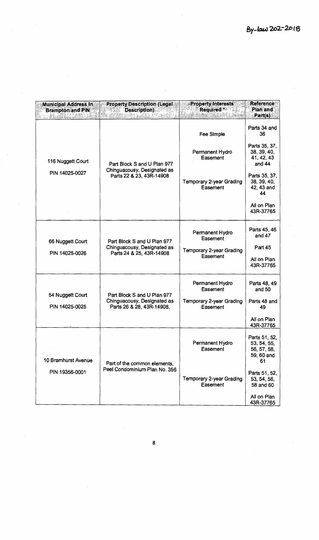| <b>Municipal Address In</b><br><b>Brampton and PIN</b> | <b>Property Description (Legal)</b><br>Description)<br>WT141. | <b>Property Interests</b><br>Required **<br>-44 | <b>Reference</b><br>Plan and<br>Part(s)                         |
|--------------------------------------------------------|---------------------------------------------------------------|-------------------------------------------------|-----------------------------------------------------------------|
|                                                        |                                                               | Fee Simple                                      | Parts 34 and<br>-36                                             |
| 116 Nuggett Court                                      | Part Block S and U Plan 977                                   | Permanent Hydro<br>Easement                     | Parts 35, 37,<br>38, 39, 40,<br>41, 42, 43<br>and 44            |
| PIN 14025-0027                                         | Chinguacousy, Designated as<br>Parts 22 & 23, 43R-14908       | Temporary 2-year Grading<br>Easement            | Parts 35, 37,<br>38, 39, 40,<br>42, 43 and<br>44                |
|                                                        |                                                               |                                                 | All on Plan<br>43R-37765                                        |
| 66 Nuggett Court                                       | Part Block S and U Plan 977                                   | Permanent Hydro<br>Easement                     | Parts 45, 46<br>and 47                                          |
| PIN 14025-0026                                         | Chinguacousy, Designated as<br>Parts 24 & 25, 43R-14908       | <b>Temporary 2-year Grading</b>                 | Part 45                                                         |
|                                                        |                                                               | Easement                                        | All on Plan<br>43R-37765                                        |
| 54 Nuggett Court                                       | Part Block S and U Plan 977                                   | Permanent Hydro<br>Easement                     | Parts 48, 49<br>and 50                                          |
| PIN 14025-0025                                         | Chinguacousy, Designated as<br>Parts 26 & 28, 43R-14908,      | <b>Temporary 2-year Grading</b><br>Easement     | Parts 48 and<br>49                                              |
|                                                        |                                                               |                                                 | All on Plan<br>43R-37765                                        |
| 10 Bramhurst Avenue                                    | Part of the common elements,                                  | Permanent Hydro<br>Easement                     | Parts 51, 52,<br>53, 54, 55,<br>56, 57, 58,<br>59, 60 and<br>61 |
| PIN 19356-0001                                         | Peel Condominium Plan No. 356                                 | <b>Temporary 2-year Grading</b><br>Easement     | Parts 51, 52,<br>53, 54, 56,<br>58 and 60                       |
|                                                        |                                                               |                                                 | All on Plan<br>43R-37765                                        |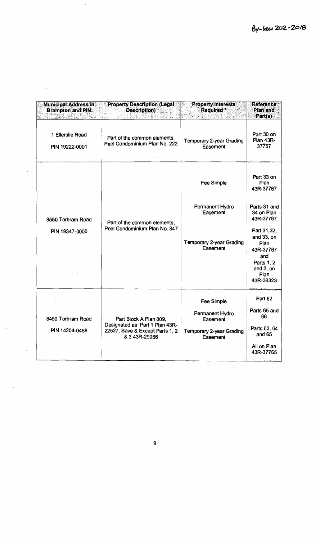| <b>Municipal Address in</b><br><b>Brampton and PIN</b> | <b>Property Description (Legal)</b><br><b>Description)</b>                                                   | <b>Property Interests</b><br>Required:                                                   | <b>Reference</b><br>Plan and<br>Part(s)                                                                                                    |
|--------------------------------------------------------|--------------------------------------------------------------------------------------------------------------|------------------------------------------------------------------------------------------|--------------------------------------------------------------------------------------------------------------------------------------------|
| 1 Ellerslie Road<br>PIN 19222-0001                     | Part of the common elements,<br>Peel Condominium Plan No. 222                                                | Temporary 2-year Grading<br>Easement                                                     | Part 30 on<br>Plan 43R-<br>37767                                                                                                           |
| 8550 Torbram Road<br>PIN 19347-0000                    | Part of the common elements,<br>Peel Condominium Plan No. 347                                                | <b>Fee Simple</b><br>Permanent Hydro<br>Easement<br>Temporary 2-year Grading<br>Easement | Part 33 on<br>Plan<br>43R-37767<br>Parts 31 and<br>34 on Plan<br>43R-37767<br>Part 31,32,<br>and 33, on<br><b>Plan</b><br>43R-37767<br>and |
|                                                        |                                                                                                              |                                                                                          | Parts 1, 2<br>and 3, on<br><b>Plan</b><br>43R-38323                                                                                        |
| 8450 Torbram Road<br>PIN 14204-0488                    | Part Block A Plan 809,<br>Designated as Part 1 Plan 43R-<br>22527, Save & Except Parts 1, 2<br>& 3 43R-29066 | <b>Fee Simple</b><br>Permanent Hydro<br>Easement<br>Temporary 2-year Grading<br>Easement | Part 62<br>Parts 65 and<br>66<br>Parts 63, 64<br>and 65<br>All on Plan<br>43R-37765                                                        |

**9** 

 $\mathcal{L}$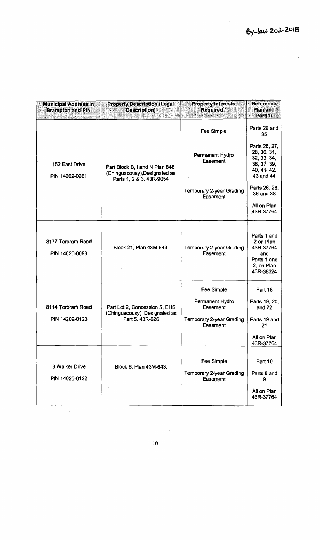| <b>Municipal Address in</b><br><b>Brampton and PIN</b> | <b>Property Description (Legal:</b><br><b>Description)</b>                        | <b>Property Interests</b><br>Required *                                                  | <b>Reference</b><br>Plan and<br>Part(s)                                                |
|--------------------------------------------------------|-----------------------------------------------------------------------------------|------------------------------------------------------------------------------------------|----------------------------------------------------------------------------------------|
|                                                        |                                                                                   | Fee Simple                                                                               | Parts 29 and<br>35                                                                     |
| 152 East Drive<br>PIN 14202-0261                       | Part Block B, I and N Plan 848,<br>(Chinguacousy), Designated as                  | Permanent Hydro<br>Easement                                                              | Parts 26, 27,<br>28, 30, 31,<br>32, 33, 34,<br>36, 37, 39,<br>40, 41, 42,<br>43 and 44 |
|                                                        | Parts 1, 2 & 3, 43R-9054                                                          | <b>Temporary 2-year Grading</b><br>Easement                                              | Parts 26, 28,<br>36 and 38<br>All on Plan<br>43R-37764                                 |
| 8177 Torbram Road<br>PIN 14025-0098                    | Block 21, Plan 43M-643,                                                           | <b>Temporary 2-year Grading</b><br>Easement                                              | Parts 1 and<br>2 on Plan<br>43R-37764<br>and<br>Parts 1 and<br>2, on Plan<br>43R-38324 |
| 8114 Torbram Road<br>PIN 14202-0123                    | Part Lot 2, Concession 5, EHS<br>(Chinguacousy), Designated as<br>Part 5, 43R-626 | Fee Simple<br>Permanent Hydro<br>Easement<br><b>Temporary 2-year Grading</b><br>Easement | Part 18<br>Parts 19, 20,<br>and 22<br>Parts 19 and<br>21<br>All on Plan<br>43R-37764   |
| 3 Walker Drive<br>PIN 14025-0122                       | Block 6, Plan 43M-643,                                                            | Fee Simple<br><b>Temporary 2-year Grading</b><br>Easement                                | Part 10<br>Parts 8 and<br>9<br>All on Plan<br>43R-37764                                |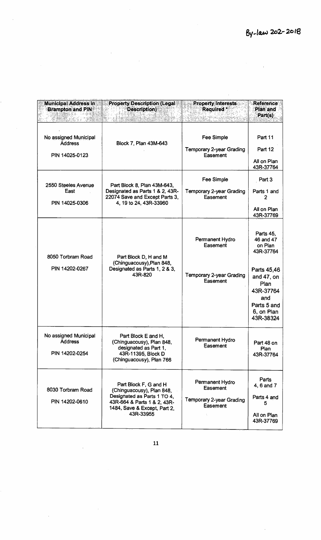$\hat{\mathcal{A}}$ 

| <b>Municipal Address in</b><br><b>Brampton and PIN</b>    | <b>Property Description (Legal)</b><br>Description)                                                                                                           | <b>Property Interests</b><br><b>Required</b>                        | <b>Reference</b><br><b>Plan and</b><br>Part(s)                                                                                                    |
|-----------------------------------------------------------|---------------------------------------------------------------------------------------------------------------------------------------------------------------|---------------------------------------------------------------------|---------------------------------------------------------------------------------------------------------------------------------------------------|
| No assigned Municipal<br><b>Address</b><br>PIN 14025-0123 | Block 7, Plan 43M-643                                                                                                                                         | Fee Simple<br><b>Temporary 2-year Grading</b><br>Easement           | Part 11<br>Part 12<br>All on Plan<br>43R-37764                                                                                                    |
| 2550 Steeles Avenue<br>East<br>PIN 14025-0306             | Part Block 8, Plan 43M-643,<br>Designated as Parts 1 & 2, 43R-<br>22074 Save and Except Parts 3,<br>4, 19 to 24, 43R-33960                                    | Fee Simple<br><b>Temporary 2-year Grading</b><br>Easement           | Part 3<br>Parts 1 and<br>2<br>All on Plan<br>43R-37769                                                                                            |
| 8050 Torbram Road<br>PIN 14202-0267                       | Part Block D, H and M<br>(Chinguacousy), Plan 848,<br>Designated as Parts 1, 2 & 3,<br>43R-820                                                                | Permanent Hydro<br>Easement<br>Temporary 2-year Grading<br>Easement | Parts 45,<br>46 and 47<br>on Plan<br>43R-37764<br>Parts 45,46<br>and 47, on<br>Plan<br>43R-37764<br>and<br>Parts 5 and<br>6, on Plan<br>43R-38324 |
| No assigned Municipal<br><b>Address</b><br>PIN 14202-0254 | Part Block E and H,<br>(Chinguacousy), Plan 848,<br>designated as Part 1,<br>43R-11395, Block D<br>(Chinguacousy), Plan 766                                   | Permanent Hydro<br>Easement                                         | Part 48 on<br>Plan<br>43R-37764                                                                                                                   |
| 8030 Torbram Road<br>PIN 14202-0610                       | Part Block F, G and H<br>(Chinguacousy), Plan 848,<br>Designated as Parts 1 TO 4,<br>43R-664 & Parts 1 & 2, 43R-<br>1484, Save & Except, Part 2,<br>43R-33955 | Permanent Hydro<br>Easement<br>Temporary 2-year Grading<br>Easement | Parts<br>4, 6 and 7<br>Parts 4 and<br>5<br>All on Plan<br>43R-37769                                                                               |

 $\bar{\beta}$ 

 $\ddot{\phantom{1}}$ 

 $\hat{\mathcal{A}}$ 

 $\bar{z}$